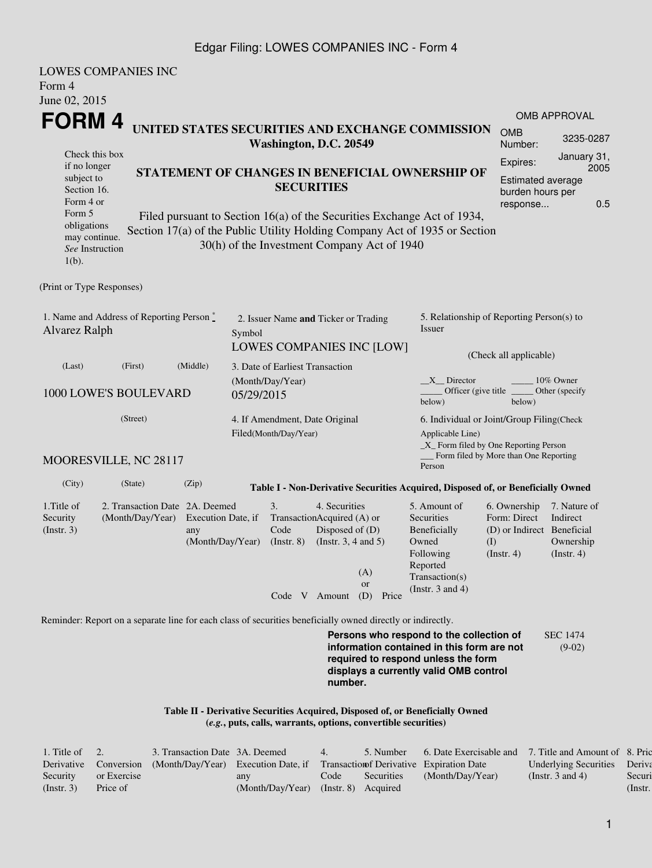## Edgar Filing: LOWES COMPANIES INC - Form 4

| Form 4<br>June 02, 2015                                                                                                                           | <b>LOWES COMPANIES INC</b>                                                                                  |                                                                                                                            |            |                                                                  |                                                                                                             |                                                                |                                                                                                                                                                         |                                                                                       |                                                           |
|---------------------------------------------------------------------------------------------------------------------------------------------------|-------------------------------------------------------------------------------------------------------------|----------------------------------------------------------------------------------------------------------------------------|------------|------------------------------------------------------------------|-------------------------------------------------------------------------------------------------------------|----------------------------------------------------------------|-------------------------------------------------------------------------------------------------------------------------------------------------------------------------|---------------------------------------------------------------------------------------|-----------------------------------------------------------|
| FORM 4                                                                                                                                            |                                                                                                             |                                                                                                                            |            |                                                                  |                                                                                                             |                                                                |                                                                                                                                                                         |                                                                                       | <b>OMB APPROVAL</b>                                       |
|                                                                                                                                                   |                                                                                                             |                                                                                                                            |            | Washington, D.C. 20549                                           |                                                                                                             |                                                                | UNITED STATES SECURITIES AND EXCHANGE COMMISSION                                                                                                                        | <b>OMB</b><br>Number:                                                                 | 3235-0287                                                 |
| Check this box<br>if no longer<br>subject to<br>Section 16.<br>Form 4 or<br>Form 5<br>obligations<br>may continue.<br>See Instruction<br>$1(b)$ . | Section 17(a) of the Public Utility Holding Company Act of 1935 or Section                                  | STATEMENT OF CHANGES IN BENEFICIAL OWNERSHIP OF<br>Filed pursuant to Section 16(a) of the Securities Exchange Act of 1934, |            | <b>SECURITIES</b><br>30(h) of the Investment Company Act of 1940 | Expires:<br><b>Estimated average</b><br>burden hours per<br>response                                        | January 31,<br>2005<br>0.5                                     |                                                                                                                                                                         |                                                                                       |                                                           |
| (Print or Type Responses)                                                                                                                         |                                                                                                             |                                                                                                                            |            |                                                                  |                                                                                                             |                                                                |                                                                                                                                                                         |                                                                                       |                                                           |
| Alvarez Ralph                                                                                                                                     | 1. Name and Address of Reporting Person $\stackrel{*}{\mathbb{L}}$                                          |                                                                                                                            | Symbol     | 2. Issuer Name and Ticker or Trading                             |                                                                                                             | LOWES COMPANIES INC [LOW]                                      | 5. Relationship of Reporting Person(s) to<br><b>Issuer</b>                                                                                                              | (Check all applicable)                                                                |                                                           |
| (Last)                                                                                                                                            | (First)                                                                                                     | (Middle)                                                                                                                   |            | 3. Date of Earliest Transaction                                  |                                                                                                             |                                                                |                                                                                                                                                                         |                                                                                       |                                                           |
|                                                                                                                                                   | 1000 LOWE'S BOULEVARD                                                                                       |                                                                                                                            | 05/29/2015 | (Month/Day/Year)                                                 |                                                                                                             |                                                                | $X$ Director<br>Officer (give title)<br>below)                                                                                                                          | below)                                                                                | 10% Owner<br>Other (specify                               |
|                                                                                                                                                   | (Street)<br>MOORESVILLE, NC 28117                                                                           |                                                                                                                            |            | 4. If Amendment, Date Original<br>Filed(Month/Day/Year)          |                                                                                                             |                                                                | 6. Individual or Joint/Group Filing(Check<br>Applicable Line)<br>$\_X$ Form filed by One Reporting Person                                                               | Form filed by More than One Reporting                                                 |                                                           |
| (City)                                                                                                                                            | (State)                                                                                                     | (Zip)                                                                                                                      |            |                                                                  |                                                                                                             |                                                                | Person<br>Table I - Non-Derivative Securities Acquired, Disposed of, or Beneficially Owned                                                                              |                                                                                       |                                                           |
| 1. Title of<br>Security<br>(Insert. 3)                                                                                                            | 2. Transaction Date 2A. Deemed<br>(Month/Day/Year)                                                          | Execution Date, if<br>any<br>(Month/Day/Year)                                                                              |            | 3.<br>Code<br>$($ Instr. $8)$                                    | 4. Securities<br>TransactionAcquired (A) or<br>Disposed of (D)<br>(Instr. $3, 4$ and $5$ )<br>Code V Amount | (A)<br><b>or</b><br>(D) Price                                  | 5. Amount of<br>Securities<br>Beneficially<br>Owned<br>Following<br>Reported<br>Transaction(s)<br>(Instr. $3$ and $4$ )                                                 | 6. Ownership<br>Form: Direct<br>(D) or Indirect Beneficial<br>(1)<br>$($ Instr. 4 $)$ | 7. Nature of<br>Indirect<br>Ownership<br>$($ Instr. 4 $)$ |
|                                                                                                                                                   | Reminder: Report on a separate line for each class of securities beneficially owned directly or indirectly. |                                                                                                                            |            |                                                                  |                                                                                                             |                                                                |                                                                                                                                                                         |                                                                                       |                                                           |
|                                                                                                                                                   |                                                                                                             |                                                                                                                            |            |                                                                  | number.                                                                                                     |                                                                | Persons who respond to the collection of<br>information contained in this form are not<br>required to respond unless the form<br>displays a currently valid OMB control |                                                                                       | <b>SEC 1474</b><br>$(9-02)$                               |
|                                                                                                                                                   |                                                                                                             |                                                                                                                            |            |                                                                  |                                                                                                             | (e.g., puts, calls, warrants, options, convertible securities) | Table II - Derivative Securities Acquired, Disposed of, or Beneficially Owned                                                                                           |                                                                                       |                                                           |

| 1. Title of $\quad 2.$ |             | 3. Transaction Date 3A. Deemed                                                                      |                                      | 4.   | 5. Number  | 6. Date Exercisable and | 7. Title and Amount of 8. Pric |            |
|------------------------|-------------|-----------------------------------------------------------------------------------------------------|--------------------------------------|------|------------|-------------------------|--------------------------------|------------|
|                        |             | Derivative Conversion (Month/Day/Year) Execution Date, if Transaction of Derivative Expiration Date |                                      |      |            |                         | Underlying Securities Deriva   |            |
| Security               | or Exercise |                                                                                                     | any                                  | Code | Securities | (Month/Day/Year)        | (Instr. 3 and 4)               | Securi     |
| (Insert, 3)            | Price of    |                                                                                                     | (Month/Day/Year) (Instr. 8) Acquired |      |            |                         |                                | $($ Instr. |